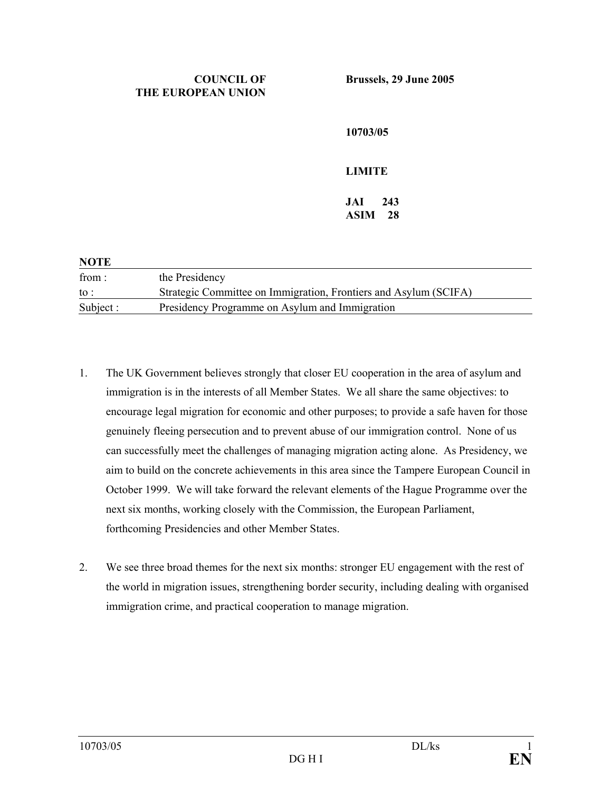**Brussels, 29 June 2005** 

**10703/05 LIMITE** 

**JAI 243 ASIM 28** 

| <b>NOTE</b>     |                                                                  |  |
|-----------------|------------------------------------------------------------------|--|
| from :          | the Presidency                                                   |  |
| $\mathrm{to}$ : | Strategic Committee on Immigration, Frontiers and Asylum (SCIFA) |  |
| Subject :       | Presidency Programme on Asylum and Immigration                   |  |
|                 |                                                                  |  |

- 1. The UK Government believes strongly that closer EU cooperation in the area of asylum and immigration is in the interests of all Member States. We all share the same objectives: to encourage legal migration for economic and other purposes; to provide a safe haven for those genuinely fleeing persecution and to prevent abuse of our immigration control. None of us can successfully meet the challenges of managing migration acting alone. As Presidency, we aim to build on the concrete achievements in this area since the Tampere European Council in October 1999. We will take forward the relevant elements of the Hague Programme over the next six months, working closely with the Commission, the European Parliament, forthcoming Presidencies and other Member States.
- 2. We see three broad themes for the next six months: stronger EU engagement with the rest of the world in migration issues, strengthening border security, including dealing with organised immigration crime, and practical cooperation to manage migration.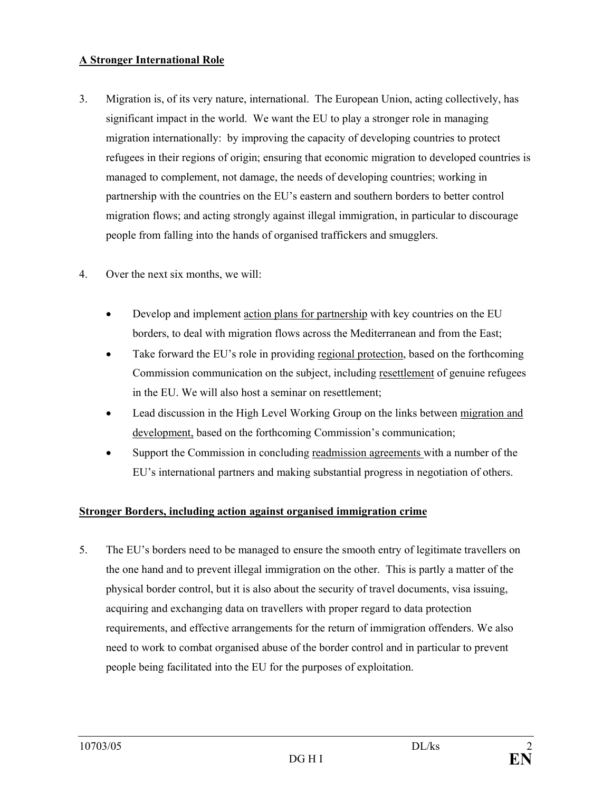## **A Stronger International Role**

- 3. Migration is, of its very nature, international. The European Union, acting collectively, has significant impact in the world. We want the EU to play a stronger role in managing migration internationally: by improving the capacity of developing countries to protect refugees in their regions of origin; ensuring that economic migration to developed countries is managed to complement, not damage, the needs of developing countries; working in partnership with the countries on the EU's eastern and southern borders to better control migration flows; and acting strongly against illegal immigration, in particular to discourage people from falling into the hands of organised traffickers and smugglers.
- 4. Over the next six months, we will:
	- Develop and implement action plans for partnership with key countries on the EU borders, to deal with migration flows across the Mediterranean and from the East;
	- Take forward the EU's role in providing regional protection, based on the forthcoming Commission communication on the subject, including resettlement of genuine refugees in the EU. We will also host a seminar on resettlement;
	- Lead discussion in the High Level Working Group on the links between migration and development, based on the forthcoming Commission's communication;
	- Support the Commission in concluding readmission agreements with a number of the EU's international partners and making substantial progress in negotiation of others.

## **Stronger Borders, including action against organised immigration crime**

5. The EU's borders need to be managed to ensure the smooth entry of legitimate travellers on the one hand and to prevent illegal immigration on the other. This is partly a matter of the physical border control, but it is also about the security of travel documents, visa issuing, acquiring and exchanging data on travellers with proper regard to data protection requirements, and effective arrangements for the return of immigration offenders. We also need to work to combat organised abuse of the border control and in particular to prevent people being facilitated into the EU for the purposes of exploitation.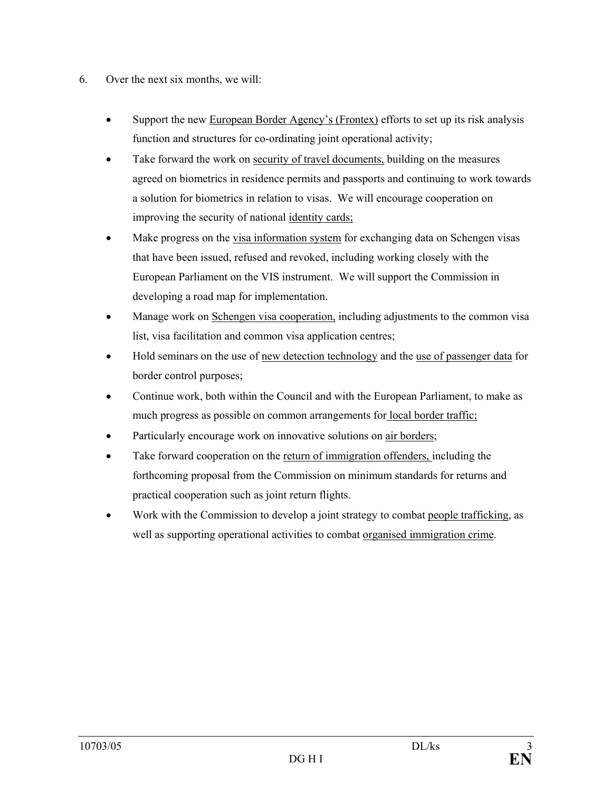- 6. Over the next six months, we will:
	- Support the new European Border Agency's (Frontex) efforts to set up its risk analysis function and structures for co-ordinating joint operational activity;
	- Take forward the work on security of travel documents, building on the measures agreed on biometrics in residence permits and passports and continuing to work towards a solution for biometrics in relation to visas. We will encourage cooperation on improving the security of national identity cards;
	- Make progress on the visa information system for exchanging data on Schengen visas that have been issued, refused and revoked, including working closely with the European Parliament on the VIS instrument. We will support the Commission in developing a road map for implementation.
	- Manage work on Schengen visa cooperation, including adjustments to the common visa list, visa facilitation and common visa application centres;
	- Hold seminars on the use of new detection technology and the use of passenger data for border control purposes;
	- Continue work, both within the Council and with the European Parliament, to make as much progress as possible on common arrangements for <u>local border traffic</u>;
	- Particularly encourage work on innovative solutions on air borders;
	- Take forward cooperation on the return of immigration offenders, including the forthcoming proposal from the Commission on minimum standards for returns and practical cooperation such as joint return flights.
	- Work with the Commission to develop a joint strategy to combat people trafficking, as well as supporting operational activities to combat organised immigration crime.